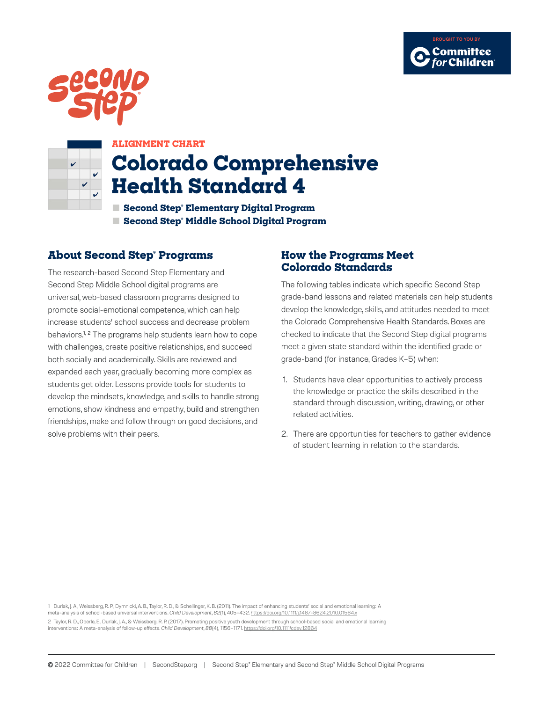





## **ALIGNMENT CHART**

# **Colorado Comprehensive Health Standard 4**

**■ Second Step® Elementary Digital Program ■ Second Step® Middle School Digital Program**

# **About Second Step® Programs**

The research-based Second Step Elementary and Second Step Middle School digital programs are universal, web-based classroom programs designed to promote social-emotional competence, which can help increase students' school success and decrease problem behaviors.<sup>1, 2</sup> The programs help students learn how to cope with challenges, create positive relationships, and succeed both socially and academically. Skills are reviewed and expanded each year, gradually becoming more complex as students get older. Lessons provide tools for students to develop the mindsets, knowledge, and skills to handle strong emotions, show kindness and empathy, build and strengthen friendships, make and follow through on good decisions, and solve problems with their peers.

## **How the Programs Meet Colorado Standards**

The following tables indicate which specific Second Step grade-band lessons and related materials can help students develop the knowledge, skills, and attitudes needed to meet the Colorado Comprehensive Health Standards. Boxes are checked to indicate that the Second Step digital programs meet a given state standard within the identified grade or grade-band (for instance, Grades K–5) when:

- 1. Students have clear opportunities to actively process the knowledge or practice the skills described in the standard through discussion, writing, drawing, or other related activities.
- 2. There are opportunities for teachers to gather evidence of student learning in relation to the standards.

1 Durlak, J. A., Weissberg, R. P., Dymnicki, A. B., Taylor, R. D., & Schellinger, K. B. (2011). The impact of enhancing students' social and emotional learning: A meta-analysis of school-based universal interventions. *Child Development*, *82*(1), 405–432. https://doi.org/10.1111/j.1467-8624.2010.01564.x 2 Taylor, R. D., Oberle, E., Durlak, J. A., & Weissberg, R. P. (2017). Promoting positive youth development through school-based social and emotional learning interventions: A meta-analysis of follow-up effects. *Child Development*, *88*(4), 1156–1171. https://doi.org/10.1111/cdev.12864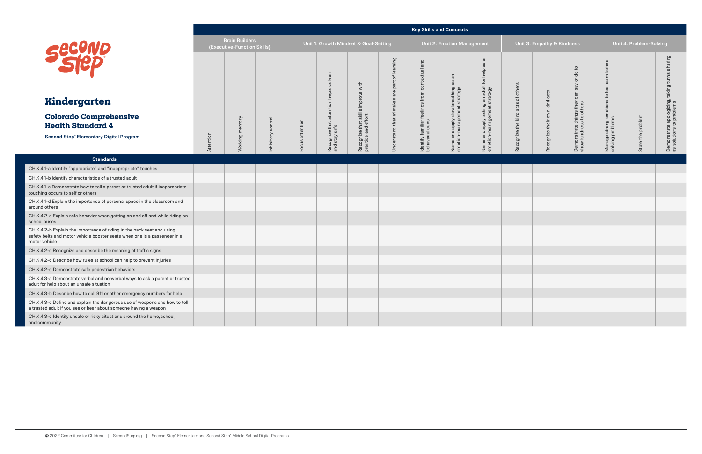|                                                                                                                                                                      |           |                                                      |                   |                 |                                       |  |                                                                                                                                                                                          | <b>Key Skills and Concepts</b> |                                                                                                  |                               |                               |                                                       |                                                         |                         |                                                                            |
|----------------------------------------------------------------------------------------------------------------------------------------------------------------------|-----------|------------------------------------------------------|-------------------|-----------------|---------------------------------------|--|------------------------------------------------------------------------------------------------------------------------------------------------------------------------------------------|--------------------------------|--------------------------------------------------------------------------------------------------|-------------------------------|-------------------------------|-------------------------------------------------------|---------------------------------------------------------|-------------------------|----------------------------------------------------------------------------|
|                                                                                                                                                                      |           | <b>Brain Builders</b><br>(Executive-Function Skills) |                   |                 | Unit 1: Growth Mindset & Goal-Setting |  |                                                                                                                                                                                          | Unit 2: Emotion Management     |                                                                                                  |                               | Unit 3: Empathy & Kindness    |                                                       |                                                         | Unit 4: Problem-Solving |                                                                            |
| <b>Second</b>                                                                                                                                                        |           |                                                      |                   |                 | attention helps us learn              |  | Understand that mistakes are part of learning<br>Identify familiar feelings from contextual and<br>behavioral cues<br>Name and apply slow breathing as an<br>emotion-management strategy |                                | $\overline{a}$<br>8g<br>Name and apply asking an adult for help as<br>motion-management strategy | others                        |                               | do to<br>$\overleftarrow{\mathrm{o}}$<br>$\sqrt{e}$ s | before                                                  |                         | Demonstrate apologizing, taking turns, sharing<br>as solutions to problems |
| Kindergarten                                                                                                                                                         |           |                                                      |                   |                 |                                       |  |                                                                                                                                                                                          |                                |                                                                                                  |                               |                               | can                                                   |                                                         |                         |                                                                            |
| <b>Colorado Comprehensive</b><br><b>Health Standard 4</b>                                                                                                            |           |                                                      |                   |                 |                                       |  |                                                                                                                                                                                          |                                |                                                                                                  | Recognize the kind acts of of | Recognize their own kind acts | Demonstrate things they<br>show kindness to others    | Manage strong emotions to feel calm<br>solving problems |                         |                                                                            |
| <b>Second Step® Elementary Digital Program</b>                                                                                                                       | Attention | Working memory                                       | nhibitory control | Focus attention | Recognize that a<br>and stay safe     |  |                                                                                                                                                                                          |                                |                                                                                                  |                               |                               |                                                       |                                                         | State the problem       |                                                                            |
| <b>Standards</b>                                                                                                                                                     |           |                                                      |                   |                 |                                       |  |                                                                                                                                                                                          |                                |                                                                                                  |                               |                               |                                                       |                                                         |                         |                                                                            |
| CH.K.4.1-a Identify "appropriate" and "inappropriate" touches                                                                                                        |           |                                                      |                   |                 |                                       |  |                                                                                                                                                                                          |                                |                                                                                                  |                               |                               |                                                       |                                                         |                         |                                                                            |
| CH.K.4.1-b Identify characteristics of a trusted adult                                                                                                               |           |                                                      |                   |                 |                                       |  |                                                                                                                                                                                          |                                |                                                                                                  |                               |                               |                                                       |                                                         |                         |                                                                            |
| CH.K.4.1-c Demonstrate how to tell a parent or trusted adult if inappropriate<br>touching occurs to self or others                                                   |           |                                                      |                   |                 |                                       |  |                                                                                                                                                                                          |                                |                                                                                                  |                               |                               |                                                       |                                                         |                         |                                                                            |
| CH.K.4.1-d Explain the importance of personal space in the classroom and<br>around others                                                                            |           |                                                      |                   |                 |                                       |  |                                                                                                                                                                                          |                                |                                                                                                  |                               |                               |                                                       |                                                         |                         |                                                                            |
| CH.K.4.2-a Explain safe behavior when getting on and off and while riding on<br>school buses                                                                         |           |                                                      |                   |                 |                                       |  |                                                                                                                                                                                          |                                |                                                                                                  |                               |                               |                                                       |                                                         |                         |                                                                            |
| CH.K.4.2-b Explain the importance of riding in the back seat and using<br>safety belts and motor vehicle booster seats when one is a passenger in a<br>motor vehicle |           |                                                      |                   |                 |                                       |  |                                                                                                                                                                                          |                                |                                                                                                  |                               |                               |                                                       |                                                         |                         |                                                                            |
| CH.K.4.2-c Recognize and describe the meaning of traffic signs                                                                                                       |           |                                                      |                   |                 |                                       |  |                                                                                                                                                                                          |                                |                                                                                                  |                               |                               |                                                       |                                                         |                         |                                                                            |
| CH.K.4.2-d Describe how rules at school can help to prevent injuries                                                                                                 |           |                                                      |                   |                 |                                       |  |                                                                                                                                                                                          |                                |                                                                                                  |                               |                               |                                                       |                                                         |                         |                                                                            |
| CH.K.4.2-e Demonstrate safe pedestrian behaviors                                                                                                                     |           |                                                      |                   |                 |                                       |  |                                                                                                                                                                                          |                                |                                                                                                  |                               |                               |                                                       |                                                         |                         |                                                                            |
| CH.K.4.3-a Demonstrate verbal and nonverbal ways to ask a parent or trusted<br>adult for help about an unsafe situation                                              |           |                                                      |                   |                 |                                       |  |                                                                                                                                                                                          |                                |                                                                                                  |                               |                               |                                                       |                                                         |                         |                                                                            |
| CH.K.4.3-b Describe how to call 911 or other emergency numbers for help                                                                                              |           |                                                      |                   |                 |                                       |  |                                                                                                                                                                                          |                                |                                                                                                  |                               |                               |                                                       |                                                         |                         |                                                                            |
| CH.K.4.3-c Define and explain the dangerous use of weapons and how to tell<br>a trusted adult if you see or hear about someone having a weapon                       |           |                                                      |                   |                 |                                       |  |                                                                                                                                                                                          |                                |                                                                                                  |                               |                               |                                                       |                                                         |                         |                                                                            |
| CH.K.4.3-d Identify unsafe or risky situations around the home, school,<br>and community                                                                             |           |                                                      |                   |                 |                                       |  |                                                                                                                                                                                          |                                |                                                                                                  |                               |                               |                                                       |                                                         |                         |                                                                            |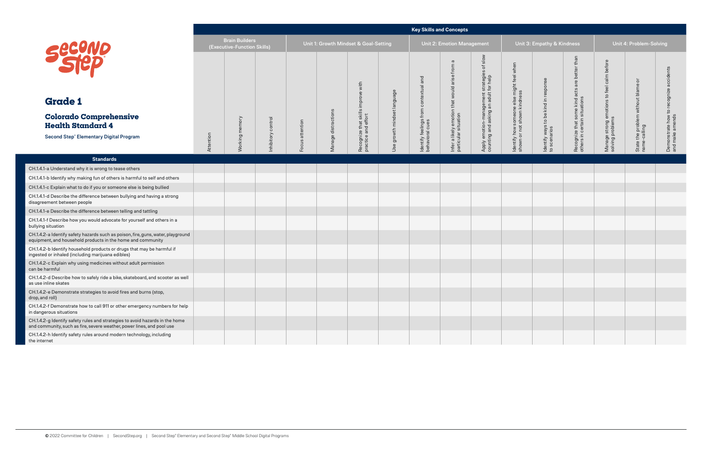|                                                                                                                                                        |           |                                                      |                   |                 |              |                                                           |                             |                                           | <b>Key Skills and Concepts</b>                                                                          |                                                                                                             |                                                                          |                                                      |                                                               |                                                                   |                                                                        |                                                           |
|--------------------------------------------------------------------------------------------------------------------------------------------------------|-----------|------------------------------------------------------|-------------------|-----------------|--------------|-----------------------------------------------------------|-----------------------------|-------------------------------------------|---------------------------------------------------------------------------------------------------------|-------------------------------------------------------------------------------------------------------------|--------------------------------------------------------------------------|------------------------------------------------------|---------------------------------------------------------------|-------------------------------------------------------------------|------------------------------------------------------------------------|-----------------------------------------------------------|
|                                                                                                                                                        |           | <b>Brain Builders</b><br>(Executive-Function Skills) |                   |                 |              | Unit 1: Growth Mindset & Goal-Setting                     |                             |                                           | Unit 2: Emotion Management                                                                              |                                                                                                             |                                                                          | Unit 3: Empathy & Kindness                           |                                                               |                                                                   | Unit 4: Problem-Solving                                                |                                                           |
| <b>Second</b><br><b>Grade 1</b>                                                                                                                        |           |                                                      |                   |                 |              | Recognize that skills improve with<br>practice and effort |                             | and<br>contextual                         | $\sigma$<br>$\overline{\rm cm}$<br>토<br>Infer a likely emotion that would arise<br>particular situation | slow<br>$\overline{\sigma}$<br>Apply emotion-management strategies<br>counting and asking an adult for help | ldentify how someone else might feel when<br>shown or not shown kindness | Identify ways to be kind in response<br>to scenarios | than<br>are better                                            | calm before<br>Manage strong emotions to feel<br>solving problems | $\overline{\sigma}$<br>State the problem without blame<br>name-calling | Demonstrate how to recognize accidents<br>and make amends |
| <b>Colorado Comprehensive</b><br><b>Health Standard 4</b>                                                                                              |           |                                                      |                   |                 | distractions |                                                           |                             |                                           |                                                                                                         |                                                                                                             |                                                                          |                                                      |                                                               |                                                                   |                                                                        |                                                           |
| <b>Second Step® Elementary Digital Program</b>                                                                                                         | Attention | Working memory                                       | nhibitory control | Focus attention | Manage o     |                                                           | Jse growth mindset language | Identify feelings from<br>behavioral cues |                                                                                                         |                                                                                                             |                                                                          |                                                      | Recognize that some kind acts<br>others in certain situations |                                                                   |                                                                        |                                                           |
| <b>Standards</b>                                                                                                                                       |           |                                                      |                   |                 |              |                                                           |                             |                                           |                                                                                                         |                                                                                                             |                                                                          |                                                      |                                                               |                                                                   |                                                                        |                                                           |
| CH.1.4.1-a Understand why it is wrong to tease others                                                                                                  |           |                                                      |                   |                 |              |                                                           |                             |                                           |                                                                                                         |                                                                                                             |                                                                          |                                                      |                                                               |                                                                   |                                                                        |                                                           |
| CH.1.4.1-b Identify why making fun of others is harmful to self and others                                                                             |           |                                                      |                   |                 |              |                                                           |                             |                                           |                                                                                                         |                                                                                                             |                                                                          |                                                      |                                                               |                                                                   |                                                                        |                                                           |
| CH.1.4.1-c Explain what to do if you or someone else is being bullied                                                                                  |           |                                                      |                   |                 |              |                                                           |                             |                                           |                                                                                                         |                                                                                                             |                                                                          |                                                      |                                                               |                                                                   |                                                                        |                                                           |
| CH.1.4.1-d Describe the difference between bullying and having a strong<br>disagreement between people                                                 |           |                                                      |                   |                 |              |                                                           |                             |                                           |                                                                                                         |                                                                                                             |                                                                          |                                                      |                                                               |                                                                   |                                                                        |                                                           |
| CH.1.4.1-e Describe the difference between telling and tattling                                                                                        |           |                                                      |                   |                 |              |                                                           |                             |                                           |                                                                                                         |                                                                                                             |                                                                          |                                                      |                                                               |                                                                   |                                                                        |                                                           |
| CH.1.4.1-f Describe how you would advocate for yourself and others in a<br>bullying situation                                                          |           |                                                      |                   |                 |              |                                                           |                             |                                           |                                                                                                         |                                                                                                             |                                                                          |                                                      |                                                               |                                                                   |                                                                        |                                                           |
| CH.1.4.2-a Identify safety hazards such as poison, fire, guns, water, playground<br>equipment, and household products in the home and community        |           |                                                      |                   |                 |              |                                                           |                             |                                           |                                                                                                         |                                                                                                             |                                                                          |                                                      |                                                               |                                                                   |                                                                        |                                                           |
| CH.1.4.2-b Identify household products or drugs that may be harmful if<br>ingested or inhaled (including marijuana edibles)                            |           |                                                      |                   |                 |              |                                                           |                             |                                           |                                                                                                         |                                                                                                             |                                                                          |                                                      |                                                               |                                                                   |                                                                        |                                                           |
| CH.1.4.2-c Explain why using medicines without adult permission<br>can be harmful                                                                      |           |                                                      |                   |                 |              |                                                           |                             |                                           |                                                                                                         |                                                                                                             |                                                                          |                                                      |                                                               |                                                                   |                                                                        |                                                           |
| CH.1.4.2-d Describe how to safely ride a bike, skateboard, and scooter as well<br>as use inline skates                                                 |           |                                                      |                   |                 |              |                                                           |                             |                                           |                                                                                                         |                                                                                                             |                                                                          |                                                      |                                                               |                                                                   |                                                                        |                                                           |
| CH.1.4.2-e Demonstrate strategies to avoid fires and burns (stop,<br>drop, and roll)                                                                   |           |                                                      |                   |                 |              |                                                           |                             |                                           |                                                                                                         |                                                                                                             |                                                                          |                                                      |                                                               |                                                                   |                                                                        |                                                           |
| CH.1.4.2-f Demonstrate how to call 911 or other emergency numbers for help<br>in dangerous situations                                                  |           |                                                      |                   |                 |              |                                                           |                             |                                           |                                                                                                         |                                                                                                             |                                                                          |                                                      |                                                               |                                                                   |                                                                        |                                                           |
| CH.1.4.2-g Identify safety rules and strategies to avoid hazards in the home<br>and community, such as fire, severe weather, power lines, and pool use |           |                                                      |                   |                 |              |                                                           |                             |                                           |                                                                                                         |                                                                                                             |                                                                          |                                                      |                                                               |                                                                   |                                                                        |                                                           |
| CH.1.4.2-h Identify safety rules around modern technology, including<br>the internet                                                                   |           |                                                      |                   |                 |              |                                                           |                             |                                           |                                                                                                         |                                                                                                             |                                                                          |                                                      |                                                               |                                                                   |                                                                        |                                                           |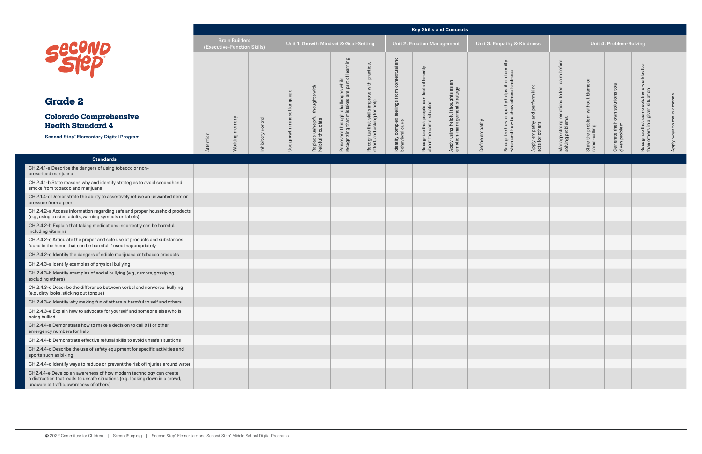|                                                                                                                                                                                                 |           |                                                      |                    |                         |                                                     |                                                                                      |                                                                             |                                                                     |                                                                        | <b>Key Skills and Concepts</b>                                    |                |                                                                                   |                                                   |                                                                |                                                 |                                    |                                                                               |                           |
|-------------------------------------------------------------------------------------------------------------------------------------------------------------------------------------------------|-----------|------------------------------------------------------|--------------------|-------------------------|-----------------------------------------------------|--------------------------------------------------------------------------------------|-----------------------------------------------------------------------------|---------------------------------------------------------------------|------------------------------------------------------------------------|-------------------------------------------------------------------|----------------|-----------------------------------------------------------------------------------|---------------------------------------------------|----------------------------------------------------------------|-------------------------------------------------|------------------------------------|-------------------------------------------------------------------------------|---------------------------|
|                                                                                                                                                                                                 |           | <b>Brain Builders</b><br>(Executive-Function Skills) |                    |                         | Unit 1: Growth Mindset & Goal-Setting               |                                                                                      |                                                                             |                                                                     | <b>Unit 2: Emotion Management</b>                                      |                                                                   |                | Unit 3: Empathy & Kindness                                                        |                                                   |                                                                |                                                 | Unit 4: Problem-Solving            |                                                                               |                           |
| <b>Secono</b>                                                                                                                                                                                   |           |                                                      |                    |                         |                                                     | Persevere through challenges while<br>recognizing that mistakes are part of learning | Recognize that skills improve with practice,<br>effort, and asking for help | and<br>Identify complex feelings from contextual<br>behavioral cues | Recognize that people can feel differently<br>about the same situation |                                                                   |                | Recognize how empathy helps them identify<br>when and how to show others kindness |                                                   | Manage strong emotions to feel calm before<br>solving problems | ੋ                                               |                                    | Recognize that some solutions work better<br>than others in a given situation |                           |
| <b>Grade 2</b>                                                                                                                                                                                  |           |                                                      |                    |                         |                                                     |                                                                                      |                                                                             |                                                                     |                                                                        |                                                                   |                |                                                                                   |                                                   |                                                                |                                                 | own solutions to a                 |                                                                               |                           |
| <b>Colorado Comprehensive</b><br><b>Health Standard 4</b>                                                                                                                                       |           |                                                      |                    | growth mindset language | Replace unhelpful thoughts with<br>helpful thoughts |                                                                                      |                                                                             |                                                                     |                                                                        | Apply using helpful thoughts as an<br>emotion-management strategy |                |                                                                                   | Apply empathy and perform kind<br>acts for others |                                                                | State the problem without blame<br>name-calling |                                    |                                                                               | Apply ways to make amends |
| <b>Second Step® Elementary Digital Program</b>                                                                                                                                                  | Attention | Working memory                                       | Inhibitory control | Use                     |                                                     |                                                                                      |                                                                             |                                                                     |                                                                        |                                                                   | Define empathy |                                                                                   |                                                   |                                                                |                                                 | Generate their of<br>given problem |                                                                               |                           |
| <b>Standards</b>                                                                                                                                                                                |           |                                                      |                    |                         |                                                     |                                                                                      |                                                                             |                                                                     |                                                                        |                                                                   |                |                                                                                   |                                                   |                                                                |                                                 |                                    |                                                                               |                           |
| CH.2.4.1-a Describe the dangers of using tobacco or non-<br>prescribed marijuana                                                                                                                |           |                                                      |                    |                         |                                                     |                                                                                      |                                                                             |                                                                     |                                                                        |                                                                   |                |                                                                                   |                                                   |                                                                |                                                 |                                    |                                                                               |                           |
| CH.2.4.1-b State reasons why and identify strategies to avoid secondhand<br>smoke from tobacco and marijuana                                                                                    |           |                                                      |                    |                         |                                                     |                                                                                      |                                                                             |                                                                     |                                                                        |                                                                   |                |                                                                                   |                                                   |                                                                |                                                 |                                    |                                                                               |                           |
| CH.2.1.4-c Demonstrate the ability to assertively refuse an unwanted item or<br>pressure from a peer                                                                                            |           |                                                      |                    |                         |                                                     |                                                                                      |                                                                             |                                                                     |                                                                        |                                                                   |                |                                                                                   |                                                   |                                                                |                                                 |                                    |                                                                               |                           |
| CH.2.4.2-a Access information regarding safe and proper household products<br>(e.g., using trusted adults, warning symbols on labels)                                                           |           |                                                      |                    |                         |                                                     |                                                                                      |                                                                             |                                                                     |                                                                        |                                                                   |                |                                                                                   |                                                   |                                                                |                                                 |                                    |                                                                               |                           |
| CH.2.4.2-b Explain that taking medications incorrectly can be harmful,<br>including vitamins                                                                                                    |           |                                                      |                    |                         |                                                     |                                                                                      |                                                                             |                                                                     |                                                                        |                                                                   |                |                                                                                   |                                                   |                                                                |                                                 |                                    |                                                                               |                           |
| CH.2.4.2-c Articulate the proper and safe use of products and substances<br>found in the home that can be harmful if used inappropriately                                                       |           |                                                      |                    |                         |                                                     |                                                                                      |                                                                             |                                                                     |                                                                        |                                                                   |                |                                                                                   |                                                   |                                                                |                                                 |                                    |                                                                               |                           |
| CH.2.4.2-d Identify the dangers of edible marijuana or tobacco products                                                                                                                         |           |                                                      |                    |                         |                                                     |                                                                                      |                                                                             |                                                                     |                                                                        |                                                                   |                |                                                                                   |                                                   |                                                                |                                                 |                                    |                                                                               |                           |
| CH.2.4.3-a Identify examples of physical bullying                                                                                                                                               |           |                                                      |                    |                         |                                                     |                                                                                      |                                                                             |                                                                     |                                                                        |                                                                   |                |                                                                                   |                                                   |                                                                |                                                 |                                    |                                                                               |                           |
| CH.2.4.3-b Identify examples of social bullying (e.g., rumors, gossiping,<br>excluding others)                                                                                                  |           |                                                      |                    |                         |                                                     |                                                                                      |                                                                             |                                                                     |                                                                        |                                                                   |                |                                                                                   |                                                   |                                                                |                                                 |                                    |                                                                               |                           |
| CH.2.4.3-c Describe the difference between verbal and nonverbal bullying<br>(e.g., dirty looks, sticking out tongue)                                                                            |           |                                                      |                    |                         |                                                     |                                                                                      |                                                                             |                                                                     |                                                                        |                                                                   |                |                                                                                   |                                                   |                                                                |                                                 |                                    |                                                                               |                           |
| CH.2.4.3-d Identify why making fun of others is harmful to self and others                                                                                                                      |           |                                                      |                    |                         |                                                     |                                                                                      |                                                                             |                                                                     |                                                                        |                                                                   |                |                                                                                   |                                                   |                                                                |                                                 |                                    |                                                                               |                           |
| CH.2.4.3-e Explain how to advocate for yourself and someone else who is<br>being bullied                                                                                                        |           |                                                      |                    |                         |                                                     |                                                                                      |                                                                             |                                                                     |                                                                        |                                                                   |                |                                                                                   |                                                   |                                                                |                                                 |                                    |                                                                               |                           |
| CH.2.4.4-a Demonstrate how to make a decision to call 911 or other<br>emergency numbers for help                                                                                                |           |                                                      |                    |                         |                                                     |                                                                                      |                                                                             |                                                                     |                                                                        |                                                                   |                |                                                                                   |                                                   |                                                                |                                                 |                                    |                                                                               |                           |
| CH.2.4.4-b Demonstrate effective refusal skills to avoid unsafe situations                                                                                                                      |           |                                                      |                    |                         |                                                     |                                                                                      |                                                                             |                                                                     |                                                                        |                                                                   |                |                                                                                   |                                                   |                                                                |                                                 |                                    |                                                                               |                           |
| CH.2.4.4-c Describe the use of safety equipment for specific activities and<br>sports such as biking                                                                                            |           |                                                      |                    |                         |                                                     |                                                                                      |                                                                             |                                                                     |                                                                        |                                                                   |                |                                                                                   |                                                   |                                                                |                                                 |                                    |                                                                               |                           |
| CH.2.4.4-d Identify ways to reduce or prevent the risk of injuries around water                                                                                                                 |           |                                                      |                    |                         |                                                     |                                                                                      |                                                                             |                                                                     |                                                                        |                                                                   |                |                                                                                   |                                                   |                                                                |                                                 |                                    |                                                                               |                           |
| CH2.4.4-e Develop an awareness of how modern technology can create<br>a distraction that leads to unsafe situations (e.g., looking down in a crowd,<br>unaware of traffic, awareness of others) |           |                                                      |                    |                         |                                                     |                                                                                      |                                                                             |                                                                     |                                                                        |                                                                   |                |                                                                                   |                                                   |                                                                |                                                 |                                    |                                                                               |                           |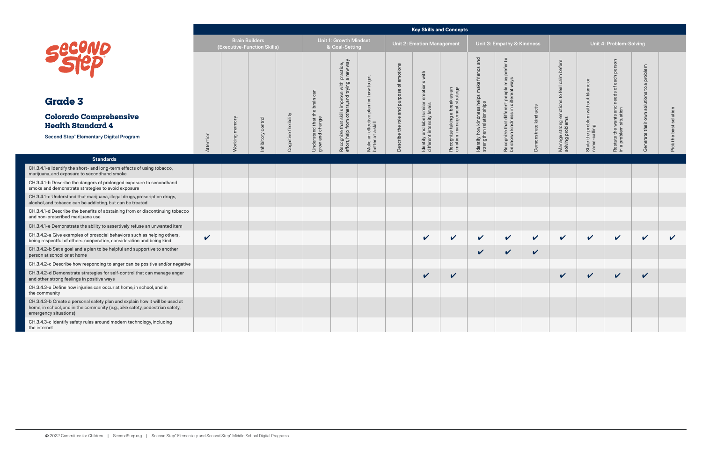|                                                                                                                                                                                      |              |                                                      |                    |                       |                                                  |                                                    |                                                        |                                           | <b>Key Skills and Concepts</b>                           |                                                               |                                                                      |                                                                            |                       |                                                                |                                                    |                                                 |                                                  |                              |
|--------------------------------------------------------------------------------------------------------------------------------------------------------------------------------------|--------------|------------------------------------------------------|--------------------|-----------------------|--------------------------------------------------|----------------------------------------------------|--------------------------------------------------------|-------------------------------------------|----------------------------------------------------------|---------------------------------------------------------------|----------------------------------------------------------------------|----------------------------------------------------------------------------|-----------------------|----------------------------------------------------------------|----------------------------------------------------|-------------------------------------------------|--------------------------------------------------|------------------------------|
|                                                                                                                                                                                      |              | <b>Brain Builders</b><br>(Executive-Function Skills) |                    |                       |                                                  | <b>Unit 1: Growth Mindset</b><br>& Goal-Setting    |                                                        |                                           | <b>Unit 2: Emotion Management</b>                        |                                                               |                                                                      | Unit 3: Empathy & Kindness                                                 |                       |                                                                |                                                    | Unit 4: Problem-Solving                         |                                                  |                              |
| Secono<br><b>Grade 3</b>                                                                                                                                                             |              |                                                      |                    |                       |                                                  | improve with practice,<br>rs, and trying a new way | get                                                    |                                           | with<br>emotions                                         |                                                               | and                                                                  | $\overline{c}$<br>efer<br>ă                                                |                       | Manage strong emotions to feel calm before<br>solving problems |                                                    | son<br>per<br>each<br>ិ៍<br>needs               | problem<br>$\sigma$<br>$\mathbf{c}$<br>solutions |                              |
| <b>Colorado Comprehensive</b><br><b>Health Standard 4</b><br><b>Second Step® Elementary Digital Program</b>                                                                          | Attention    | memory<br>lorking                                    | Inhibitory control | Cognitive flexibility | Understand that the brain can<br>grow and change | Recognize that skills i<br>effort, help from other | Make an effective plan for how to<br>better at a skill | Describe the role and purpose of emotions | Identify and label similar<br>different intensity levels | Recognize taking a break as an<br>emotion-management strategy | ldentify how kindness helps make friends<br>strengthen relationships | Recognize that different people may<br>be shown kindness in different ways | Demonstrate kind acts |                                                                | State the problem without blame or<br>name-calling | Restate the wants and<br>in a problem situation | own<br>their<br>erate                            | solution<br><u>sa</u><br>the |
| <b>Standards</b>                                                                                                                                                                     |              |                                                      |                    |                       |                                                  |                                                    |                                                        |                                           |                                                          |                                                               |                                                                      |                                                                            |                       |                                                                |                                                    |                                                 | Ge                                               |                              |
| CH.3.4.1-a Identify the short- and long-term effects of using tobacco,<br>marijuana, and exposure to secondhand smoke                                                                |              |                                                      |                    |                       |                                                  |                                                    |                                                        |                                           |                                                          |                                                               |                                                                      |                                                                            |                       |                                                                |                                                    |                                                 |                                                  |                              |
| CH.3.4.1-b Describe the dangers of prolonged exposure to secondhand<br>smoke and demonstrate strategies to avoid exposure                                                            |              |                                                      |                    |                       |                                                  |                                                    |                                                        |                                           |                                                          |                                                               |                                                                      |                                                                            |                       |                                                                |                                                    |                                                 |                                                  |                              |
| CH.3.4.1-c Understand that marijuana, illegal drugs, prescription drugs,<br>alcohol, and tobacco can be addicting, but can be treated                                                |              |                                                      |                    |                       |                                                  |                                                    |                                                        |                                           |                                                          |                                                               |                                                                      |                                                                            |                       |                                                                |                                                    |                                                 |                                                  |                              |
| CH.3.4.1-d Describe the benefits of abstaining from or discontinuing tobacco<br>and non-prescribed marijuana use                                                                     |              |                                                      |                    |                       |                                                  |                                                    |                                                        |                                           |                                                          |                                                               |                                                                      |                                                                            |                       |                                                                |                                                    |                                                 |                                                  |                              |
| CH.3.4.1-e Demonstrate the ability to assertively refuse an unwanted item                                                                                                            |              |                                                      |                    |                       |                                                  |                                                    |                                                        |                                           |                                                          |                                                               |                                                                      |                                                                            |                       |                                                                |                                                    |                                                 |                                                  |                              |
| CH.3.4.2-a Give examples of prosocial behaviors such as helping others,<br>being respectful of others, cooperation, consideration and being kind                                     | $\checkmark$ |                                                      |                    |                       |                                                  |                                                    |                                                        |                                           | V                                                        | $\checkmark$                                                  | $\checkmark$                                                         | $\mathbf v$                                                                | $\checkmark$          | $\boldsymbol{\mathcal{U}}$                                     | $\checkmark$                                       | $\checkmark$                                    | $\checkmark$                                     | $\checkmark$                 |
| CH.3.4.2-b Set a goal and a plan to be helpful and supportive to another<br>person at school or at home                                                                              |              |                                                      |                    |                       |                                                  |                                                    |                                                        |                                           |                                                          |                                                               | V                                                                    | $\checkmark$                                                               | $\checkmark$          |                                                                |                                                    |                                                 |                                                  |                              |
| CH.3.4.2-c Describe how responding to anger can be positive and/or negative                                                                                                          |              |                                                      |                    |                       |                                                  |                                                    |                                                        |                                           |                                                          |                                                               |                                                                      |                                                                            |                       |                                                                |                                                    |                                                 |                                                  |                              |
| CH.3.4.2-d Demonstrate strategies for self-control that can manage anger<br>and other strong feelings in positive ways                                                               |              |                                                      |                    |                       |                                                  |                                                    |                                                        |                                           | V                                                        | $\boldsymbol{\mathcal{U}}$                                    |                                                                      |                                                                            |                       | $\boldsymbol{\mathcal{U}}$                                     | V                                                  | V                                               | V                                                |                              |
| CH.3.4.3-a Define how injuries can occur at home, in school, and in<br>the community                                                                                                 |              |                                                      |                    |                       |                                                  |                                                    |                                                        |                                           |                                                          |                                                               |                                                                      |                                                                            |                       |                                                                |                                                    |                                                 |                                                  |                              |
| CH.3.4.3-b Create a personal safety plan and explain how it will be used at<br>home, in school, and in the community (e.g., bike safety, pedestrian safety,<br>emergency situations) |              |                                                      |                    |                       |                                                  |                                                    |                                                        |                                           |                                                          |                                                               |                                                                      |                                                                            |                       |                                                                |                                                    |                                                 |                                                  |                              |
| CH.3.4.3-c Identify safety rules around modern technology, including<br>the internet                                                                                                 |              |                                                      |                    |                       |                                                  |                                                    |                                                        |                                           |                                                          |                                                               |                                                                      |                                                                            |                       |                                                                |                                                    |                                                 |                                                  |                              |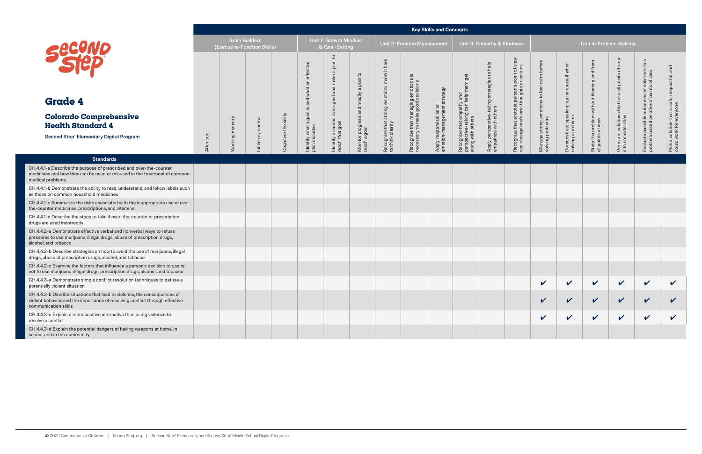#### **Key Skills and Concepts**

|                                                                                                                                                                                  |           |                                                      |            |                       |                                            |                                                          |                                                       |                                                                 |                                                                      | <b>Key Skills and Concepts</b>                         |                                                                                     |                                                                      |                                                                                           |                                                                |                                                               |                                                                  |                                                                       |                                                                                                   |                                                                          |
|----------------------------------------------------------------------------------------------------------------------------------------------------------------------------------|-----------|------------------------------------------------------|------------|-----------------------|--------------------------------------------|----------------------------------------------------------|-------------------------------------------------------|-----------------------------------------------------------------|----------------------------------------------------------------------|--------------------------------------------------------|-------------------------------------------------------------------------------------|----------------------------------------------------------------------|-------------------------------------------------------------------------------------------|----------------------------------------------------------------|---------------------------------------------------------------|------------------------------------------------------------------|-----------------------------------------------------------------------|---------------------------------------------------------------------------------------------------|--------------------------------------------------------------------------|
|                                                                                                                                                                                  |           | <b>Brain Builders</b><br>(Executive-Function Skills) |            |                       |                                            | <b>Unit 1: Growth Mindset</b><br>& Goal-Setting          |                                                       |                                                                 | Unit 2: Emotion Management                                           |                                                        |                                                                                     | Unit 3: Empathy & Kindness                                           |                                                                                           |                                                                |                                                               | Unit 4: Problem-Solving                                          |                                                                       |                                                                                                   |                                                                          |
| <b>Secono</b>                                                                                                                                                                    |           |                                                      |            |                       | and what an effective                      | م<br>ب<br>plan<br>$\sigma$                               |                                                       | Recognize that strong emotions make it hard<br>to think clearly | ∾.                                                                   |                                                        | get                                                                                 | Apply perspective-taking strategies to help<br>empathize with others | Recognize that another person's point of view<br>can change one's own thoughts or actions | Manage strong emotions to feel calm before<br>solving problems | Demonstrate speaking up for oneself when<br>solving a problem | State the problem without blaming and from<br>all points of view | Generate solutions that take all points of view<br>into consideration | $\varpi$<br>Evaluate possible outcomes of solutions to<br>problem based on others' points of view | Pick a solution that is safe, respectful, and<br>could work for everyone |
| <b>Grade 4</b>                                                                                                                                                                   |           |                                                      |            |                       |                                            |                                                          |                                                       |                                                                 |                                                                      |                                                        |                                                                                     |                                                                      |                                                                                           |                                                                |                                                               |                                                                  |                                                                       |                                                                                                   |                                                                          |
| <b>Colorado Comprehensive</b><br><b>Health Standard 4</b>                                                                                                                        |           | memory                                               | control    |                       | ldentify what a goal is a<br>plan includes | ldentify a shared class goal and make<br>reach that goal | Monitor progress and modify a plan to<br>reach a goal |                                                                 | Recognize that managing emotions<br>necessary to make good decisions | Apply reappraisal as an<br>emotion-management strategy | Recognize that empathy and<br>perspective-taking can help them<br>along with others |                                                                      |                                                                                           |                                                                |                                                               |                                                                  |                                                                       |                                                                                                   |                                                                          |
| Second Step® Elementary Digital Program                                                                                                                                          | Attention | Working                                              | Inhibitory | Cognitive flexibility |                                            |                                                          |                                                       |                                                                 |                                                                      |                                                        |                                                                                     |                                                                      |                                                                                           |                                                                |                                                               |                                                                  |                                                                       |                                                                                                   |                                                                          |
| <b>Standards</b>                                                                                                                                                                 |           |                                                      |            |                       |                                            |                                                          |                                                       |                                                                 |                                                                      |                                                        |                                                                                     |                                                                      |                                                                                           |                                                                |                                                               |                                                                  |                                                                       |                                                                                                   |                                                                          |
| CH.4.4.1-a Describe the purpose of prescribed and over-the-counter<br>medicines and how they can be used or misused in the treatment of common<br>medical problems               |           |                                                      |            |                       |                                            |                                                          |                                                       |                                                                 |                                                                      |                                                        |                                                                                     |                                                                      |                                                                                           |                                                                |                                                               |                                                                  |                                                                       |                                                                                                   |                                                                          |
| CH.4.4.1-b Demonstrate the ability to read, understand, and follow labels such<br>as those on common household medicines                                                         |           |                                                      |            |                       |                                            |                                                          |                                                       |                                                                 |                                                                      |                                                        |                                                                                     |                                                                      |                                                                                           |                                                                |                                                               |                                                                  |                                                                       |                                                                                                   |                                                                          |
| CH.4.4.1-c Summarize the risks associated with the inappropriate use of over-<br>the-counter medicines, prescriptions, and vitamins                                              |           |                                                      |            |                       |                                            |                                                          |                                                       |                                                                 |                                                                      |                                                        |                                                                                     |                                                                      |                                                                                           |                                                                |                                                               |                                                                  |                                                                       |                                                                                                   |                                                                          |
| CH.4.4.1-d Describe the steps to take if over-the-counter or prescription<br>drugs are used incorrectly                                                                          |           |                                                      |            |                       |                                            |                                                          |                                                       |                                                                 |                                                                      |                                                        |                                                                                     |                                                                      |                                                                                           |                                                                |                                                               |                                                                  |                                                                       |                                                                                                   |                                                                          |
| CH.4.4.2-a Demonstrate effective verbal and nonverbal ways to refuse<br>pressures to use marijuana, illegal drugs, abuse of prescription drugs,<br>alcohol, and tobacco          |           |                                                      |            |                       |                                            |                                                          |                                                       |                                                                 |                                                                      |                                                        |                                                                                     |                                                                      |                                                                                           |                                                                |                                                               |                                                                  |                                                                       |                                                                                                   |                                                                          |
| CH.4.4.2-b Describe strategies on how to avoid the use of marijuana, illegal<br>drugs, abuse of prescription drugs, alcohol, and tobacco                                         |           |                                                      |            |                       |                                            |                                                          |                                                       |                                                                 |                                                                      |                                                        |                                                                                     |                                                                      |                                                                                           |                                                                |                                                               |                                                                  |                                                                       |                                                                                                   |                                                                          |
| CH.4.4.2-c Examine the factors that influence a person's decision to use or<br>not to use marijuana, illegal drugs, prescription drugs, alcohol, and tobacco                     |           |                                                      |            |                       |                                            |                                                          |                                                       |                                                                 |                                                                      |                                                        |                                                                                     |                                                                      |                                                                                           |                                                                |                                                               |                                                                  |                                                                       |                                                                                                   |                                                                          |
| CH.4.4.3-a Demonstrate simple conflict resolution techniques to defuse a<br>potentially violent situation                                                                        |           |                                                      |            |                       |                                            |                                                          |                                                       |                                                                 |                                                                      |                                                        |                                                                                     |                                                                      |                                                                                           | $\checkmark$                                                   | $\checkmark$                                                  | $\checkmark$                                                     | $\checkmark$                                                          | $\checkmark$                                                                                      | $\checkmark$                                                             |
| CH.4.4.3-b Decribe situations that lead to violence, the consequences of<br>violent behavior, and the importance of resolving conflict through effective<br>communication skills |           |                                                      |            |                       |                                            |                                                          |                                                       |                                                                 |                                                                      |                                                        |                                                                                     |                                                                      |                                                                                           | $\checkmark$                                                   | $\mathbf{v}$                                                  | $\checkmark$                                                     | $\checkmark$                                                          | $\checkmark$                                                                                      |                                                                          |
| CH.4.4.3-c Explain a more positive alternative than using violence to<br>resolve a conflict                                                                                      |           |                                                      |            |                       |                                            |                                                          |                                                       |                                                                 |                                                                      |                                                        |                                                                                     |                                                                      |                                                                                           | $\checkmark$                                                   | $\checkmark$                                                  | $\checkmark$                                                     | $\checkmark$                                                          | $\checkmark$                                                                                      | $\checkmark$                                                             |
| CH.4.4.3-d Explain the potential dangers of having weapons at home, in<br>school, and in the community                                                                           |           |                                                      |            |                       |                                            |                                                          |                                                       |                                                                 |                                                                      |                                                        |                                                                                     |                                                                      |                                                                                           |                                                                |                                                               |                                                                  |                                                                       |                                                                                                   |                                                                          |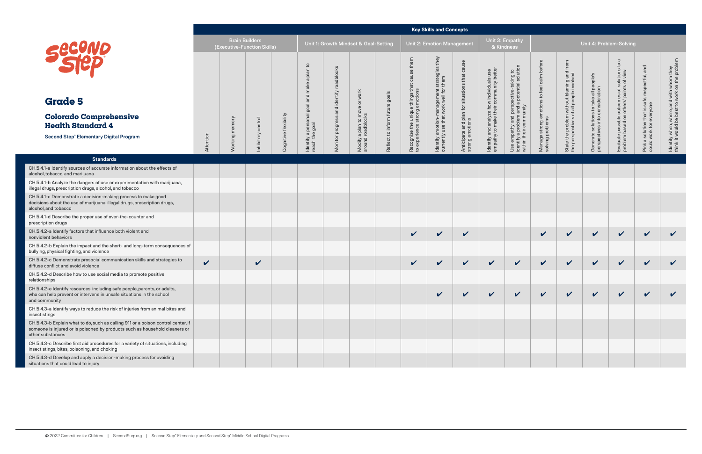|                                                                                                                                                                                      |              |                |                                                      |                       |                                         |                         |                                               |                                |                                                                                 | <b>Key Skills and Concepts</b>                                                       |                                                            |                                                                                   |                                                                                                                |                                                                |                                                                                       |                                                                            |                                                                        |                                                                          |                                                                                           |
|--------------------------------------------------------------------------------------------------------------------------------------------------------------------------------------|--------------|----------------|------------------------------------------------------|-----------------------|-----------------------------------------|-------------------------|-----------------------------------------------|--------------------------------|---------------------------------------------------------------------------------|--------------------------------------------------------------------------------------|------------------------------------------------------------|-----------------------------------------------------------------------------------|----------------------------------------------------------------------------------------------------------------|----------------------------------------------------------------|---------------------------------------------------------------------------------------|----------------------------------------------------------------------------|------------------------------------------------------------------------|--------------------------------------------------------------------------|-------------------------------------------------------------------------------------------|
| Secure                                                                                                                                                                               |              |                | <b>Brain Builders</b><br>(Executive-Function Skills) |                       |                                         |                         | Unit 1: Growth Mindset & Goal-Setting         |                                |                                                                                 | <b>Unit 2: Emotion Management</b>                                                    |                                                            |                                                                                   | Unit 3: Empathy<br>& Kindness                                                                                  |                                                                |                                                                                       |                                                                            | Unit 4: Problem-Solving                                                |                                                                          |                                                                                           |
|                                                                                                                                                                                      |              |                |                                                      |                       | $\overline{c}$<br>a plan<br>make        | and identify roadblocks |                                               |                                | them<br>Recognize the unique things that cause<br>to experience strong emotions | ldentify emotion-management strategies they<br>currently use that work well for them |                                                            | Identify and analyze how individuals use<br>empathy to make their community bette | Use empathy and perspective-taking to<br>identify a problem and a potential solution<br>within their community | Manage strong emotions to feel calm before<br>solving problems | State the problem without blaming and from<br>the perspectives of all people involved |                                                                            | $\sigma$<br>$\mathbf{c}$<br>of solutions to<br>ints of view<br>$\rm 5$ | Pick a solution that is safe, respectful, and<br>could work for everyone | ldentify when, where, and with whom they<br>think it would be best to work on the problem |
| <b>Grade 5</b>                                                                                                                                                                       |              |                |                                                      |                       | goal and                                |                         | work                                          |                                |                                                                                 |                                                                                      |                                                            |                                                                                   |                                                                                                                |                                                                |                                                                                       |                                                                            |                                                                        |                                                                          |                                                                                           |
| <b>Colorado Comprehensive</b><br><b>Health Standard 4</b>                                                                                                                            |              | memory         | control                                              |                       | Identify a personal g<br>reach the goal |                         | Modify a plan to move or<br>around roadblocks | Reflect to inform future goals |                                                                                 |                                                                                      | Anticipate and plan for situations that<br>strong emotions |                                                                                   |                                                                                                                |                                                                |                                                                                       | Generate solutions to take all people's<br>perspectives into consideration | Evaluate possible outcomes<br>problem based on others' poi             |                                                                          |                                                                                           |
| <b>Second Step® Elementary Digital Program</b>                                                                                                                                       | Attention    | <b>Working</b> | Inhibitory                                           | Cognitive flexibility |                                         | Monitor progress        |                                               |                                |                                                                                 |                                                                                      |                                                            |                                                                                   |                                                                                                                |                                                                |                                                                                       |                                                                            |                                                                        |                                                                          |                                                                                           |
| <b>Standards</b>                                                                                                                                                                     |              |                |                                                      |                       |                                         |                         |                                               |                                |                                                                                 |                                                                                      |                                                            |                                                                                   |                                                                                                                |                                                                |                                                                                       |                                                                            |                                                                        |                                                                          |                                                                                           |
| CH.5.4.1-a Identify sources of accurate information about the effects of<br>alcohol, tobacco, and marijuana                                                                          |              |                |                                                      |                       |                                         |                         |                                               |                                |                                                                                 |                                                                                      |                                                            |                                                                                   |                                                                                                                |                                                                |                                                                                       |                                                                            |                                                                        |                                                                          |                                                                                           |
| CH.5.4.1-b Analyze the dangers of use or experimentation with marijuana,<br>illegal drugs, prescription drugs, alcohol, and tobacco                                                  |              |                |                                                      |                       |                                         |                         |                                               |                                |                                                                                 |                                                                                      |                                                            |                                                                                   |                                                                                                                |                                                                |                                                                                       |                                                                            |                                                                        |                                                                          |                                                                                           |
| CH.5.4.1-c Demonstrate a decision-making process to make good<br>decisions about the use of marijuana, illegal drugs, prescription drugs,<br>alcohol, and tobacco                    |              |                |                                                      |                       |                                         |                         |                                               |                                |                                                                                 |                                                                                      |                                                            |                                                                                   |                                                                                                                |                                                                |                                                                                       |                                                                            |                                                                        |                                                                          |                                                                                           |
| CH.5.4.1-d Describe the proper use of over-the-counter and<br>prescription drugs                                                                                                     |              |                |                                                      |                       |                                         |                         |                                               |                                |                                                                                 |                                                                                      |                                                            |                                                                                   |                                                                                                                |                                                                |                                                                                       |                                                                            |                                                                        |                                                                          |                                                                                           |
| CH.5.4.2-a Identify factors that influence both violent and<br>nonviolent behaviors                                                                                                  |              |                |                                                      |                       |                                         |                         |                                               |                                | $\checkmark$                                                                    | $\checkmark$                                                                         | $\checkmark$                                               |                                                                                   |                                                                                                                | $\checkmark$                                                   | $\checkmark$                                                                          | $\checkmark$                                                               | $\checkmark$                                                           | $\checkmark$                                                             | $\checkmark$                                                                              |
| CH.5.4.2-b Explain the impact and the short- and long-term consequences of<br>bullying, physical fighting, and violence                                                              |              |                |                                                      |                       |                                         |                         |                                               |                                |                                                                                 |                                                                                      |                                                            |                                                                                   |                                                                                                                |                                                                |                                                                                       |                                                                            |                                                                        |                                                                          |                                                                                           |
| CH.5.4.2-c Demonstrate prosocial communication skills and strategies to<br>diffuse conflict and avoid violence                                                                       | $\checkmark$ |                | V                                                    |                       |                                         |                         |                                               |                                | $\boldsymbol{\mathcal{U}}$                                                      | $\checkmark$                                                                         | V                                                          | $\checkmark$                                                                      | $\checkmark$                                                                                                   | $\checkmark$                                                   | $\checkmark$                                                                          | $\checkmark$                                                               | $\checkmark$                                                           | $\checkmark$                                                             | $\checkmark$                                                                              |
| CH.5.4.2-d Describe how to use social media to promote positive<br>relationships                                                                                                     |              |                |                                                      |                       |                                         |                         |                                               |                                |                                                                                 |                                                                                      |                                                            |                                                                                   |                                                                                                                |                                                                |                                                                                       |                                                                            |                                                                        |                                                                          |                                                                                           |
| CH.5.4.2-e Identify resources, including safe people, parents, or adults,<br>who can help prevent or intervene in unsafe situations in the school<br>and community                   |              |                |                                                      |                       |                                         |                         |                                               |                                |                                                                                 | $\boldsymbol{\mathcal{U}}$                                                           | $\mathbf{v}$                                               | $\checkmark$                                                                      | $\checkmark$                                                                                                   | $\checkmark$                                                   | $\checkmark$                                                                          | $\checkmark$                                                               | $\checkmark$                                                           | $\boldsymbol{\mathcal{U}}$                                               | $\boldsymbol{\mathcal{U}}$                                                                |
| CH.5.4.3-a Identify ways to reduce the risk of injuries from animal bites and<br>insect stings                                                                                       |              |                |                                                      |                       |                                         |                         |                                               |                                |                                                                                 |                                                                                      |                                                            |                                                                                   |                                                                                                                |                                                                |                                                                                       |                                                                            |                                                                        |                                                                          |                                                                                           |
| CH.5.4.3-b Explain what to do, such as calling 911 or a poison control center, if<br>someone is injured or is poisoned by products such as household cleaners or<br>other substances |              |                |                                                      |                       |                                         |                         |                                               |                                |                                                                                 |                                                                                      |                                                            |                                                                                   |                                                                                                                |                                                                |                                                                                       |                                                                            |                                                                        |                                                                          |                                                                                           |
| CH.5.4.3-c Describe first aid procedures for a variety of situations, including<br>insect stings, bites, poisoning, and choking                                                      |              |                |                                                      |                       |                                         |                         |                                               |                                |                                                                                 |                                                                                      |                                                            |                                                                                   |                                                                                                                |                                                                |                                                                                       |                                                                            |                                                                        |                                                                          |                                                                                           |
| CH.5.4.3-d Develop and apply a decision-making process for avoiding<br>situations that could lead to injury                                                                          |              |                |                                                      |                       |                                         |                         |                                               |                                |                                                                                 |                                                                                      |                                                            |                                                                                   |                                                                                                                |                                                                |                                                                                       |                                                                            |                                                                        |                                                                          |                                                                                           |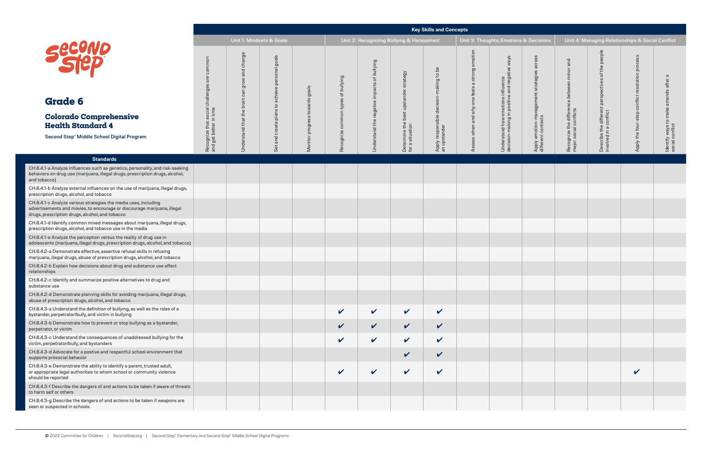| ons & Decisions                                                  |                                                                      |                                                                             | Unit 4: Managing Relationships & Social Conflict |                                                         |
|------------------------------------------------------------------|----------------------------------------------------------------------|-----------------------------------------------------------------------------|--------------------------------------------------|---------------------------------------------------------|
| Apply emotion-management strategies across<br>different contexts | Recognize the difference between minor and<br>major social conflicts | Describe the different perspectives of the people<br>involved in a conflict | Apply the four-step conflict resolution process  | Identify ways to make amends after a<br>social conflict |
|                                                                  |                                                                      |                                                                             |                                                  |                                                         |
|                                                                  |                                                                      |                                                                             |                                                  |                                                         |
|                                                                  |                                                                      |                                                                             |                                                  |                                                         |
|                                                                  |                                                                      |                                                                             |                                                  |                                                         |
|                                                                  |                                                                      |                                                                             |                                                  |                                                         |
|                                                                  |                                                                      |                                                                             |                                                  |                                                         |
|                                                                  |                                                                      |                                                                             |                                                  |                                                         |
|                                                                  |                                                                      |                                                                             |                                                  |                                                         |
|                                                                  |                                                                      |                                                                             |                                                  |                                                         |
|                                                                  |                                                                      |                                                                             |                                                  |                                                         |
|                                                                  |                                                                      |                                                                             |                                                  |                                                         |
|                                                                  |                                                                      |                                                                             |                                                  |                                                         |
|                                                                  |                                                                      |                                                                             |                                                  |                                                         |
|                                                                  |                                                                      |                                                                             |                                                  |                                                         |
|                                                                  |                                                                      |                                                                             |                                                  |                                                         |
|                                                                  |                                                                      |                                                                             |                                                  |                                                         |

|                                                                                                                                                                                                |                                                            |                              |                                               |                               |                                    |                                           |                                                          | <b>Key Skills and Concepts</b>                          |                                               |                                                                                    |                                                                     |                                                                         |                                                     |                                                  |                                                         |
|------------------------------------------------------------------------------------------------------------------------------------------------------------------------------------------------|------------------------------------------------------------|------------------------------|-----------------------------------------------|-------------------------------|------------------------------------|-------------------------------------------|----------------------------------------------------------|---------------------------------------------------------|-----------------------------------------------|------------------------------------------------------------------------------------|---------------------------------------------------------------------|-------------------------------------------------------------------------|-----------------------------------------------------|--------------------------------------------------|---------------------------------------------------------|
|                                                                                                                                                                                                |                                                            |                              | <b>Unit 1: Mindsets &amp; Goals</b>           |                               |                                    | Unit 2: Recognizing Bullying & Harassment |                                                          |                                                         |                                               | Unit 3: Thoughts, Emotions & Decisions                                             |                                                                     |                                                                         |                                                     | Unit 4: Managing Relationships & Social Conflict |                                                         |
| <b>Second</b>                                                                                                                                                                                  | are common                                                 | change<br>and<br>grow<br>can | goals<br>and create plans to achieve personal |                               | Recognize common types of bullying | of bullying                               | Determine the best upstander strategy<br>for a situation | Apply responsible decision-making to be<br>an upstander | ssess when and why one feels a strong emotion | Understand how emotions influence<br>decision-making in positive and negative ways | across<br>Apply emotion-management strategies<br>different contexts | and<br>Recognize the difference between minor<br>major social conflicts | people<br>the<br>$\overline{\sigma}$<br>perspective | resolution process                               | ldentify ways to make amends after a<br>social conflict |
| <b>Grade 6</b>                                                                                                                                                                                 |                                                            |                              |                                               |                               |                                    |                                           |                                                          |                                                         |                                               |                                                                                    |                                                                     |                                                                         |                                                     |                                                  |                                                         |
| <b>Colorado Comprehensive</b><br><b>Health Standard 4</b>                                                                                                                                      |                                                            |                              |                                               | onitor progress towards goals |                                    |                                           |                                                          |                                                         |                                               |                                                                                    |                                                                     |                                                                         |                                                     |                                                  |                                                         |
| Second Step® Middle School Digital Program                                                                                                                                                     | Recognize that social challenges<br>and get better in time | Understand that the brain    | Set                                           | Σ                             |                                    | Understand the negative impacts           |                                                          |                                                         |                                               |                                                                                    |                                                                     |                                                                         | Describe the different<br>involved in a conflict    | Apply the four-step conflict                     |                                                         |
| <b>Standards</b>                                                                                                                                                                               |                                                            |                              |                                               |                               |                                    |                                           |                                                          |                                                         |                                               |                                                                                    |                                                                     |                                                                         |                                                     |                                                  |                                                         |
| CH.6.4.1-a Analyze influences such as genetics, personality, and risk-seeking<br>behaviors on drug use (marijuana, illegal drugs, prescription drugs, alcohol,<br>and tobacco)                 |                                                            |                              |                                               |                               |                                    |                                           |                                                          |                                                         |                                               |                                                                                    |                                                                     |                                                                         |                                                     |                                                  |                                                         |
| CH.6.4.1-b Analyze external influences on the use of marijuana, illegal drugs,<br>prescription drugs, alcohol, and tobacco                                                                     |                                                            |                              |                                               |                               |                                    |                                           |                                                          |                                                         |                                               |                                                                                    |                                                                     |                                                                         |                                                     |                                                  |                                                         |
| CH.6.4.1-c Analyze various strategies the media uses, including<br>advertisements and movies, to encourage or discourage marijuana, illegal<br>drugs, prescription drugs, alcohol, and tobacco |                                                            |                              |                                               |                               |                                    |                                           |                                                          |                                                         |                                               |                                                                                    |                                                                     |                                                                         |                                                     |                                                  |                                                         |
| CH.6.4.1-d Identify common mixed messages about marijuana, illegal drugs,<br>prescription drugs, alcohol, and tobacco use in the media                                                         |                                                            |                              |                                               |                               |                                    |                                           |                                                          |                                                         |                                               |                                                                                    |                                                                     |                                                                         |                                                     |                                                  |                                                         |
| CH.6.4.1-e Analyze the perception versus the reality of drug use in<br>adolescents (marijuana, illegal drugs, prescription drugs, alcohol, and tobacco)                                        |                                                            |                              |                                               |                               |                                    |                                           |                                                          |                                                         |                                               |                                                                                    |                                                                     |                                                                         |                                                     |                                                  |                                                         |
| CH.6.4.2-a Demonstrate effective, assertive refusal skills in refusing<br>marijuana, illegal drugs, abuse of prescription drugs, alcohol, and tobacco                                          |                                                            |                              |                                               |                               |                                    |                                           |                                                          |                                                         |                                               |                                                                                    |                                                                     |                                                                         |                                                     |                                                  |                                                         |
| CH.6.4.2-b Explain how decisions about drug and substance use affect<br>relationships                                                                                                          |                                                            |                              |                                               |                               |                                    |                                           |                                                          |                                                         |                                               |                                                                                    |                                                                     |                                                                         |                                                     |                                                  |                                                         |
| CH.6.4.2-c Identify and summarize positive alternatives to drug and<br>substance use                                                                                                           |                                                            |                              |                                               |                               |                                    |                                           |                                                          |                                                         |                                               |                                                                                    |                                                                     |                                                                         |                                                     |                                                  |                                                         |
| CH.6.4.2-d Demonstrate planning skills for avoiding marijuana, illegal drugs,<br>abuse of prescription drugs, alcohol, and tobacco                                                             |                                                            |                              |                                               |                               |                                    |                                           |                                                          |                                                         |                                               |                                                                                    |                                                                     |                                                                         |                                                     |                                                  |                                                         |
| CH.6.4.3-a Understand the definition of bullying, as well as the roles of a<br>bystander, perpetrator/bully, and victim in bullying                                                            |                                                            |                              |                                               |                               | V                                  | $\checkmark$                              | $\checkmark$                                             | $\checkmark$                                            |                                               |                                                                                    |                                                                     |                                                                         |                                                     |                                                  |                                                         |
| CH.6.4.3-b Demonstrate how to prevent or stop bullying as a bystander,<br>perpetrator, or victim                                                                                               |                                                            |                              |                                               |                               | $\checkmark$                       | $\mathbf{v}$                              | $\checkmark$                                             | $\checkmark$                                            |                                               |                                                                                    |                                                                     |                                                                         |                                                     |                                                  |                                                         |
| CH.6.4.3-c Understand the consequences of unaddressed bullying for the<br>victim, perpetrator/bully, and bystanders                                                                            |                                                            |                              |                                               |                               | V                                  | $\checkmark$                              | $\checkmark$                                             | $\checkmark$                                            |                                               |                                                                                    |                                                                     |                                                                         |                                                     |                                                  |                                                         |
| CH.6.4.3-d Advocate for a postive and respectful school environment that<br>supports prosocial behavior                                                                                        |                                                            |                              |                                               |                               |                                    |                                           | $\checkmark$                                             | $\checkmark$                                            |                                               |                                                                                    |                                                                     |                                                                         |                                                     |                                                  |                                                         |
| CH.6.4.3-e Demonstrate the ability to identify a parent, trusted adult,<br>or appropriate legal authorities to whom school or community violence<br>should be reported                         |                                                            |                              |                                               |                               | V                                  | $\checkmark$                              | $\checkmark$                                             | $\checkmark$                                            |                                               |                                                                                    |                                                                     |                                                                         |                                                     | $\checkmark$                                     |                                                         |
| CH.6.4.3-f Describe the dangers of and actions to be taken if aware of threats<br>to harm self or others                                                                                       |                                                            |                              |                                               |                               |                                    |                                           |                                                          |                                                         |                                               |                                                                                    |                                                                     |                                                                         |                                                     |                                                  |                                                         |
| CH.6.4.3-g Describe the dangers of and actions to be taken if weapons are<br>seen or suspected in schools                                                                                      |                                                            |                              |                                               |                               |                                    |                                           |                                                          |                                                         |                                               |                                                                                    |                                                                     |                                                                         |                                                     |                                                  |                                                         |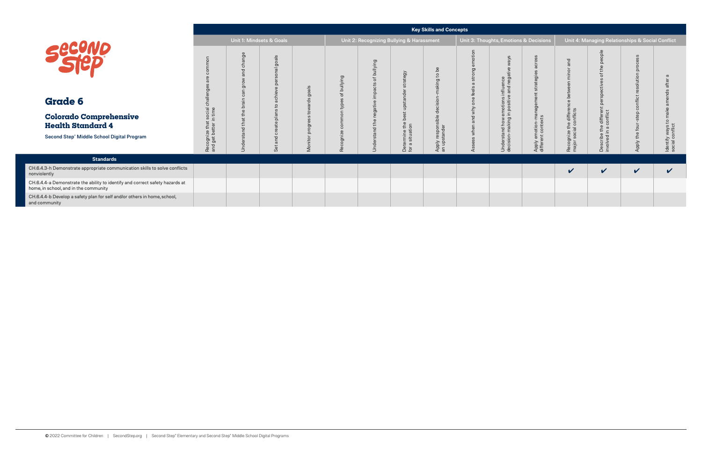|                                                                                                                       |                                       |          |                                           |       |                                             |                                           |                                  | <b>Key Skills and Concepts</b>       |                                                                 |                        |                                                 |                                                  |              |                                       |
|-----------------------------------------------------------------------------------------------------------------------|---------------------------------------|----------|-------------------------------------------|-------|---------------------------------------------|-------------------------------------------|----------------------------------|--------------------------------------|-----------------------------------------------------------------|------------------------|-------------------------------------------------|--------------------------------------------------|--------------|---------------------------------------|
|                                                                                                                       |                                       |          | Unit 1: Mindsets & Goals                  |       |                                             | Unit 2: Recognizing Bullying & Harassment |                                  |                                      | Unit 3: Thoughts, Emotions & Decisions                          |                        |                                                 | Unit 4: Managing Relationships & Social Conflict |              |                                       |
| SECOND                                                                                                                |                                       | nge<br>둥 | goals<br>$\overline{m}$                   | goals | bullying<br>$\overline{\sigma}$<br>$\omega$ | bullying<br>ቴ                             | egy                              | $\mathbf C$                          | neg<br>$\overline{\sigma}$                                      |                        | ত                                               |                                                  |              |                                       |
| <b>Grade 6</b>                                                                                                        | ㅎ                                     |          |                                           |       | ψó                                          |                                           |                                  |                                      | $rac{1}{1}$<br>ä                                                |                        |                                                 |                                                  |              |                                       |
| <b>Colorado Comprehensive</b><br><b>Health Standard 4</b>                                                             | social<br>n time                      |          |                                           |       |                                             | ≐                                         |                                  |                                      | $\overline{a}$ . $\overline{a}$<br>ow worl brian<br>Internation | emotion-<br>ant contex | Recognize the differe<br>major social conflicts | aifferen<br>conflict<br>운                        |              |                                       |
| Second Step® Middle School Digital Program                                                                            | Recognize that s<br>and get better in | ⋾        | $\overline{\phantom{0}}$<br>$\omega$<br>Ō | Σ     | cog<br>Re                                   | ರ<br>5                                    | Determine the<br>for a situation | respor<br>standel<br>Apply<br>an ups | នី ទី<br>Under:<br>decisio                                      | Apply<br>differe       |                                                 | Describe<br>involved i                           | Apply        | Identify ways to r<br>social conflict |
| <b>Standards</b>                                                                                                      |                                       |          |                                           |       |                                             |                                           |                                  |                                      |                                                                 |                        |                                                 |                                                  |              |                                       |
| CH.6.4.3-h Demonstrate appropriate communication skills to solve conflicts<br>nonviolently                            |                                       |          |                                           |       |                                             |                                           |                                  |                                      |                                                                 |                        | $\checkmark$                                    | $\checkmark$                                     | $\checkmark$ | $\checkmark$                          |
| CH.6.4.4-a Demonstrate the ability to identify and correct safety hazards at<br>home, in school, and in the community |                                       |          |                                           |       |                                             |                                           |                                  |                                      |                                                                 |                        |                                                 |                                                  |              |                                       |
| CH.6.4.4-b Develop a safety plan for self and/or others in home, school,<br>and community                             |                                       |          |                                           |       |                                             |                                           |                                  |                                      |                                                                 |                        |                                                 |                                                  |              |                                       |

| ns & Decisions                                                   |                                                                      | Unit 4: Managing Relationships & Social Conflict                            |                                                 |                                                         |
|------------------------------------------------------------------|----------------------------------------------------------------------|-----------------------------------------------------------------------------|-------------------------------------------------|---------------------------------------------------------|
| Apply emotion-management strategies across<br>different contexts | Recognize the difference between minor and<br>major social conflicts | Describe the different perspectives of the people<br>involved in a conflict | Apply the four-step conflict resolution process | Identify ways to make amends after a<br>social conflict |
|                                                                  |                                                                      |                                                                             |                                                 |                                                         |
|                                                                  |                                                                      |                                                                             |                                                 |                                                         |
|                                                                  |                                                                      |                                                                             |                                                 |                                                         |
|                                                                  |                                                                      |                                                                             |                                                 |                                                         |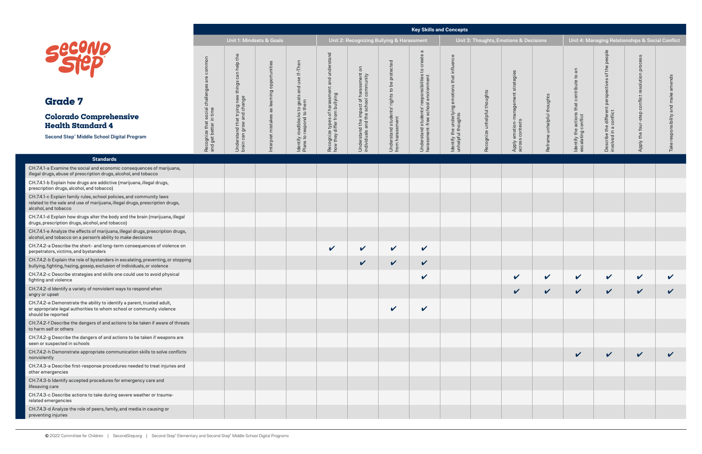|                                                                                                                                                                              |                                                            |                                                                             |                                             |                                                                         |                                                                |                                                                             |                                                                | <b>Key Skills and Concepts</b>                                                                       |                                               |                              |                                        |                            |                                               |                                                          |                                                  |              |
|------------------------------------------------------------------------------------------------------------------------------------------------------------------------------|------------------------------------------------------------|-----------------------------------------------------------------------------|---------------------------------------------|-------------------------------------------------------------------------|----------------------------------------------------------------|-----------------------------------------------------------------------------|----------------------------------------------------------------|------------------------------------------------------------------------------------------------------|-----------------------------------------------|------------------------------|----------------------------------------|----------------------------|-----------------------------------------------|----------------------------------------------------------|--------------------------------------------------|--------------|
|                                                                                                                                                                              |                                                            | Unit 1: Mindsets & Goals                                                    |                                             |                                                                         |                                                                |                                                                             | Unit 2: Recognizing Bullying & Harassment                      |                                                                                                      |                                               |                              | Unit 3: Thoughts, Emotions & Decisions |                            |                                               |                                                          | Unit 4: Managing Relationships & Social Conflict |              |
| <b>second</b>                                                                                                                                                                | common<br>are                                              | Understand that trying new things can help the<br>brain can grow and change | nterpret mistakes as learning opportunities | dentify roadblocks to goals and use If–Then<br>Plans to respond to them | and understand                                                 | $\overline{5}$                                                              | Understand students' rights to be protected<br>from harassment | $\sigma$<br>create<br>Understand students' responsibilities to<br>harassment-free school environment | influence<br>that<br>emotions                 |                              | strategies                             |                            | an<br>$\overline{c}$<br>contribute            | people<br>the<br>$\overleftarrow{\mathrm{o}}$<br>sctives | process<br>resolution                            | nds          |
| <b>Grade 7</b>                                                                                                                                                               |                                                            |                                                                             |                                             |                                                                         |                                                                |                                                                             |                                                                |                                                                                                      |                                               |                              |                                        |                            | that                                          | perspe                                                   | conflict                                         |              |
| <b>Colorado Comprehensive</b><br><b>Health Standard 4</b>                                                                                                                    | Recognize that social challenges<br>and get better in time |                                                                             |                                             |                                                                         | Recognize types of harassment<br>how they differ from bullying | Understand the impact of harassment<br>individuals and the school community |                                                                |                                                                                                      | ldentify the underlying<br>unhelpful thoughts | Recognize unhelpful thoughts | anage                                  | Reframe unhelpful thoughts | Identify the actions t<br>escalating conflict | Describe the different<br>involved in a conflict         | Apply the four-step                              |              |
| Second Step <sup>®</sup> Middle School Digital Program                                                                                                                       |                                                            |                                                                             |                                             |                                                                         |                                                                |                                                                             |                                                                |                                                                                                      |                                               |                              | Apply emotion-rr<br>across contexts    |                            |                                               |                                                          |                                                  |              |
| <b>Standards</b>                                                                                                                                                             |                                                            |                                                                             |                                             |                                                                         |                                                                |                                                                             |                                                                |                                                                                                      |                                               |                              |                                        |                            |                                               |                                                          |                                                  |              |
| CH.7.4.1-a Examine the social and economic consequences of marijuana,<br>illegal drugs, abuse of prescription drugs, alcohol, and tobacco                                    |                                                            |                                                                             |                                             |                                                                         |                                                                |                                                                             |                                                                |                                                                                                      |                                               |                              |                                        |                            |                                               |                                                          |                                                  |              |
| CH.7.4.1-b Explain how drugs are addictive (marijuana, illegal drugs,<br>prescription drugs, alcohol, and tobacco)                                                           |                                                            |                                                                             |                                             |                                                                         |                                                                |                                                                             |                                                                |                                                                                                      |                                               |                              |                                        |                            |                                               |                                                          |                                                  |              |
| CH.7.4.1-c Explain family rules, school policies, and community laws<br>related to the sale and use of marijuana, illegal drugs, prescription drugs,<br>alcohol, and tobacco |                                                            |                                                                             |                                             |                                                                         |                                                                |                                                                             |                                                                |                                                                                                      |                                               |                              |                                        |                            |                                               |                                                          |                                                  |              |
| CH.7.4.1-d Explain how drugs alter the body and the brain (marijuana, illegal<br>drugs, prescription drugs, alcohol, and tobacco)                                            |                                                            |                                                                             |                                             |                                                                         |                                                                |                                                                             |                                                                |                                                                                                      |                                               |                              |                                        |                            |                                               |                                                          |                                                  |              |
| CH.7.4.1-e Analyze the effects of marijuana, illegal drugs, prescription drugs,<br>alcohol, and tobacco on a person's ability to make decisions                              |                                                            |                                                                             |                                             |                                                                         |                                                                |                                                                             |                                                                |                                                                                                      |                                               |                              |                                        |                            |                                               |                                                          |                                                  |              |
| CH.7.4.2-a Describe the short- and long-term consequences of violence on<br>perpetrators, victims, and bystanders                                                            |                                                            |                                                                             |                                             |                                                                         | $\checkmark$                                                   | $\checkmark$                                                                | $\checkmark$                                                   | $\checkmark$                                                                                         |                                               |                              |                                        |                            |                                               |                                                          |                                                  |              |
| CH.7.4.2-b Explain the role of bystanders in escalating, preventing, or stopping<br>bullying, fighting, hazing, gossip, exclusion of individuals, or violence                |                                                            |                                                                             |                                             |                                                                         |                                                                | $\checkmark$                                                                | $\checkmark$                                                   | $\checkmark$                                                                                         |                                               |                              |                                        |                            |                                               |                                                          |                                                  |              |
| CH.7.4.2-c Describe strategies and skills one could use to avoid physical<br>fighting and violence                                                                           |                                                            |                                                                             |                                             |                                                                         |                                                                |                                                                             |                                                                | $\boldsymbol{\mathcal{U}}$                                                                           |                                               |                              | $\checkmark$                           | V                          | $\checkmark$                                  | V                                                        | $\checkmark$                                     | V            |
| CH.7.4.2-d Identify a variety of nonviolent ways to respond when<br>angry or upset                                                                                           |                                                            |                                                                             |                                             |                                                                         |                                                                |                                                                             |                                                                |                                                                                                      |                                               |                              | $\checkmark$                           | V                          | $\checkmark$                                  | V                                                        | $\checkmark$                                     | V            |
| CH.7.4.2-e Demonstrate the ability to identify a parent, trusted adult,<br>or appropriate legal authorities to whom school or community violence<br>should be reported       |                                                            |                                                                             |                                             |                                                                         |                                                                |                                                                             | $\checkmark$                                                   | $\checkmark$                                                                                         |                                               |                              |                                        |                            |                                               |                                                          |                                                  |              |
| CH.7.4.2-f Describe the dangers of and actions to be taken if aware of threats<br>to harm self or others                                                                     |                                                            |                                                                             |                                             |                                                                         |                                                                |                                                                             |                                                                |                                                                                                      |                                               |                              |                                        |                            |                                               |                                                          |                                                  |              |
| CH.7.4.2-g Describe the dangers of and actions to be taken if weapons are<br>seen or suspected in schools                                                                    |                                                            |                                                                             |                                             |                                                                         |                                                                |                                                                             |                                                                |                                                                                                      |                                               |                              |                                        |                            |                                               |                                                          |                                                  |              |
| CH.7.4.2-h Demonstrate appropriate communication skills to solve conflicts<br>nonviolently                                                                                   |                                                            |                                                                             |                                             |                                                                         |                                                                |                                                                             |                                                                |                                                                                                      |                                               |                              |                                        |                            | $\checkmark$                                  | $\checkmark$                                             | $\checkmark$                                     | $\checkmark$ |
| CH.7.4.3-a Describe first-response procedures needed to treat injuries and<br>other emergencies                                                                              |                                                            |                                                                             |                                             |                                                                         |                                                                |                                                                             |                                                                |                                                                                                      |                                               |                              |                                        |                            |                                               |                                                          |                                                  |              |
| CH.7.4.3-b Identify accepted procedures for emergency care and<br>lifesaving care                                                                                            |                                                            |                                                                             |                                             |                                                                         |                                                                |                                                                             |                                                                |                                                                                                      |                                               |                              |                                        |                            |                                               |                                                          |                                                  |              |
| CH.7.4.3-c Describe actions to take during severe weather or trauma-<br>related emergencies                                                                                  |                                                            |                                                                             |                                             |                                                                         |                                                                |                                                                             |                                                                |                                                                                                      |                                               |                              |                                        |                            |                                               |                                                          |                                                  |              |
| CH.7.4.3-d Analyze the role of peers, family, and media in causing or<br>preventing injuries                                                                                 |                                                            |                                                                             |                                             |                                                                         |                                                                |                                                                             |                                                                |                                                                                                      |                                               |                              |                                        |                            |                                               |                                                          |                                                  |              |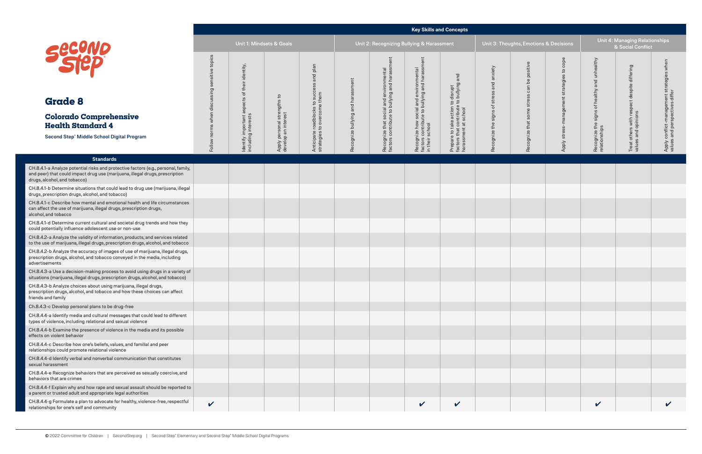## **Key Skills and Concepts**

| ts, Emotions & Dec <u>isions</u>           |                                            |                                                               | Unit 4: Managing Relationships<br>& Social Conflict                |                                                                             |
|--------------------------------------------|--------------------------------------------|---------------------------------------------------------------|--------------------------------------------------------------------|-----------------------------------------------------------------------------|
| Recognize that some stress can be positive | Apply stress-management strategies to cope | Recognize the signs of healthy and unhealthy<br>relationships | Treat others with respect despite differing<br>values and opinions | Apply conflict-management strategies when<br>values and perspectives differ |
|                                            |                                            |                                                               |                                                                    |                                                                             |
|                                            |                                            |                                                               |                                                                    |                                                                             |
|                                            |                                            |                                                               |                                                                    |                                                                             |
|                                            |                                            |                                                               |                                                                    |                                                                             |
|                                            |                                            |                                                               |                                                                    |                                                                             |
|                                            |                                            |                                                               |                                                                    |                                                                             |
|                                            |                                            |                                                               |                                                                    |                                                                             |
|                                            |                                            |                                                               |                                                                    |                                                                             |
|                                            |                                            |                                                               |                                                                    |                                                                             |
|                                            |                                            |                                                               |                                                                    |                                                                             |
|                                            |                                            |                                                               |                                                                    |                                                                             |
|                                            |                                            |                                                               |                                                                    |                                                                             |
|                                            |                                            |                                                               |                                                                    |                                                                             |

|                                                                                                                                                                                                    | Unit 1: Mindsets & Goals |                                             |                                                    |                                                              | Unit 2: Recognizing Bullying & Harassment |                                                                                          |                                                                                                            |                                                                                                  | Unit 3: Thoughts, Emotions & Decisions |                          |                                               | <b>Unit 4: Managing Relationships</b><br>& Social Conflict |                                                  |                                  |
|----------------------------------------------------------------------------------------------------------------------------------------------------------------------------------------------------|--------------------------|---------------------------------------------|----------------------------------------------------|--------------------------------------------------------------|-------------------------------------------|------------------------------------------------------------------------------------------|------------------------------------------------------------------------------------------------------------|--------------------------------------------------------------------------------------------------|----------------------------------------|--------------------------|-----------------------------------------------|------------------------------------------------------------|--------------------------------------------------|----------------------------------|
| <b>Secuve</b>                                                                                                                                                                                      | topics<br>tive<br>©⊔     | identity,<br>of their                       |                                                    | plan<br>and                                                  | ent                                       | Recognize that social and environmental<br>factors contribute to bullying and harassment | Recognize how social and environmental<br>factors contribute to bullying and harassment<br>in their school | and                                                                                              | anxiety<br>and                         | positive<br>$b$ e<br>can | cope<br>$\mathtt{S}$<br>$\omega$<br>strategie | ealthy<br>unh<br>and                                       | despite differing                                | $\frac{1}{2}$<br>es<br>strategie |
| <b>Grade 8</b>                                                                                                                                                                                     | disci                    | aspects                                     |                                                    |                                                              | and harassm                               |                                                                                          |                                                                                                            |                                                                                                  | stress<br>$\overleftarrow{\mathrm{o}}$ | stress                   |                                               | healthy<br>$\overleftrightarrow{\circ}$                    |                                                  |                                  |
| <b>Colorado Comprehensive</b><br><b>Health Standard 4</b>                                                                                                                                          |                          |                                             | Apply personal strengths to<br>develop an interest | Anticipate roadblocks to succ<br>strategies to overcome them |                                           |                                                                                          |                                                                                                            | Prepare to take action to disrupt<br>factors that contribute to bullying<br>harassment at school | signs                                  | some<br>that             | stress-management                             | signs                                                      | Treat others with respect<br>values and opinions | conflict-mar                     |
| Second Step® Middle School Digital Program                                                                                                                                                         | Follow norms when        | Identify important a<br>including interests |                                                    |                                                              | Recognize bullying                        |                                                                                          |                                                                                                            |                                                                                                  | Recognize the                          | Recognize                | Apply                                         | Recognize the s<br>relationships                           |                                                  | Apply                            |
| <b>Standards</b>                                                                                                                                                                                   |                          |                                             |                                                    |                                                              |                                           |                                                                                          |                                                                                                            |                                                                                                  |                                        |                          |                                               |                                                            |                                                  |                                  |
| CH.8.4.1-a Analyze potential risks and protective factors (e.g., personal, family,<br>and peer) that could impact drug use (marijuana, illegal drugs, prescription<br>drugs, alcohol, and tobacco) |                          |                                             |                                                    |                                                              |                                           |                                                                                          |                                                                                                            |                                                                                                  |                                        |                          |                                               |                                                            |                                                  |                                  |
| CH.8.4.1-b Determine situations that could lead to drug use (marijuana, illegal<br>drugs, prescription drugs, alcohol, and tobacco)                                                                |                          |                                             |                                                    |                                                              |                                           |                                                                                          |                                                                                                            |                                                                                                  |                                        |                          |                                               |                                                            |                                                  |                                  |
| CH.8.4.1-c Describe how mental and emotional health and life circumstances<br>can affect the use of marijuana, illegal drugs, prescription drugs,<br>alcohol, and tobacco                          |                          |                                             |                                                    |                                                              |                                           |                                                                                          |                                                                                                            |                                                                                                  |                                        |                          |                                               |                                                            |                                                  |                                  |
| CH.8.4.1-d Determine current cultural and societal drug trends and how they<br>could potentially influence adolescent use or non-use                                                               |                          |                                             |                                                    |                                                              |                                           |                                                                                          |                                                                                                            |                                                                                                  |                                        |                          |                                               |                                                            |                                                  |                                  |
| CH.8.4.2-a Analyze the validity of information, products, and services related<br>to the use of marijuana, illegal drugs, prescription drugs, alcohol, and tobacco                                 |                          |                                             |                                                    |                                                              |                                           |                                                                                          |                                                                                                            |                                                                                                  |                                        |                          |                                               |                                                            |                                                  |                                  |
| CH.8.4.2-b Analyze the accuracy of images of use of marijuana, illegal drugs,<br>prescription drugs, alcohol, and tobacco conveyed in the media, including<br>advertisements                       |                          |                                             |                                                    |                                                              |                                           |                                                                                          |                                                                                                            |                                                                                                  |                                        |                          |                                               |                                                            |                                                  |                                  |
| CH.8.4.3-a Use a decision-making process to avoid using drugs in a variety of<br>situations (marijuana, illegal drugs, prescription drugs, alcohol, and tobacco)                                   |                          |                                             |                                                    |                                                              |                                           |                                                                                          |                                                                                                            |                                                                                                  |                                        |                          |                                               |                                                            |                                                  |                                  |
| CH.8.4.3-b Analyze choices about using marijuana, illegal drugs,<br>prescription drugs, alcohol, and tobacco and how these choices can affect<br>friends and family                                |                          |                                             |                                                    |                                                              |                                           |                                                                                          |                                                                                                            |                                                                                                  |                                        |                          |                                               |                                                            |                                                  |                                  |
| Ch.8.4.3-c Develop personal plans to be drug-free                                                                                                                                                  |                          |                                             |                                                    |                                                              |                                           |                                                                                          |                                                                                                            |                                                                                                  |                                        |                          |                                               |                                                            |                                                  |                                  |
| CH.8.4.4-a Identify media and cultural messages that could lead to different<br>types of violence, including relational and sexual violence                                                        |                          |                                             |                                                    |                                                              |                                           |                                                                                          |                                                                                                            |                                                                                                  |                                        |                          |                                               |                                                            |                                                  |                                  |
| CH.8.4.4-b Examine the presence of violence in the media and its possible<br>effects on violent behavior                                                                                           |                          |                                             |                                                    |                                                              |                                           |                                                                                          |                                                                                                            |                                                                                                  |                                        |                          |                                               |                                                            |                                                  |                                  |
| CH.8.4.4-c Describe how one's beliefs, values, and familial and peer<br>relationships could promote relational violence                                                                            |                          |                                             |                                                    |                                                              |                                           |                                                                                          |                                                                                                            |                                                                                                  |                                        |                          |                                               |                                                            |                                                  |                                  |
| CH.8.4.4-d Identify verbal and nonverbal communication that constitutes<br>sexual harassment                                                                                                       |                          |                                             |                                                    |                                                              |                                           |                                                                                          |                                                                                                            |                                                                                                  |                                        |                          |                                               |                                                            |                                                  |                                  |
| CH.8.4.4-e Recognize behaviors that are perceived as sexually coercive, and<br>behaviors that are crimes                                                                                           |                          |                                             |                                                    |                                                              |                                           |                                                                                          |                                                                                                            |                                                                                                  |                                        |                          |                                               |                                                            |                                                  |                                  |
| CH.8.4.4-f Explain why and how rape and sexual assault should be reported to<br>a parent or trusted adult and appropriate legal authorities                                                        |                          |                                             |                                                    |                                                              |                                           |                                                                                          |                                                                                                            |                                                                                                  |                                        |                          |                                               |                                                            |                                                  |                                  |
| CH.8.4.4-g Formulate a plan to advocate for healthy, violence-free, respectful<br>relationships for one's self and community                                                                       | $\checkmark$             |                                             |                                                    |                                                              |                                           |                                                                                          | $\checkmark$                                                                                               | $\checkmark$                                                                                     |                                        |                          |                                               | $\checkmark$                                               |                                                  | $\boldsymbol{\mathcal{U}}$       |